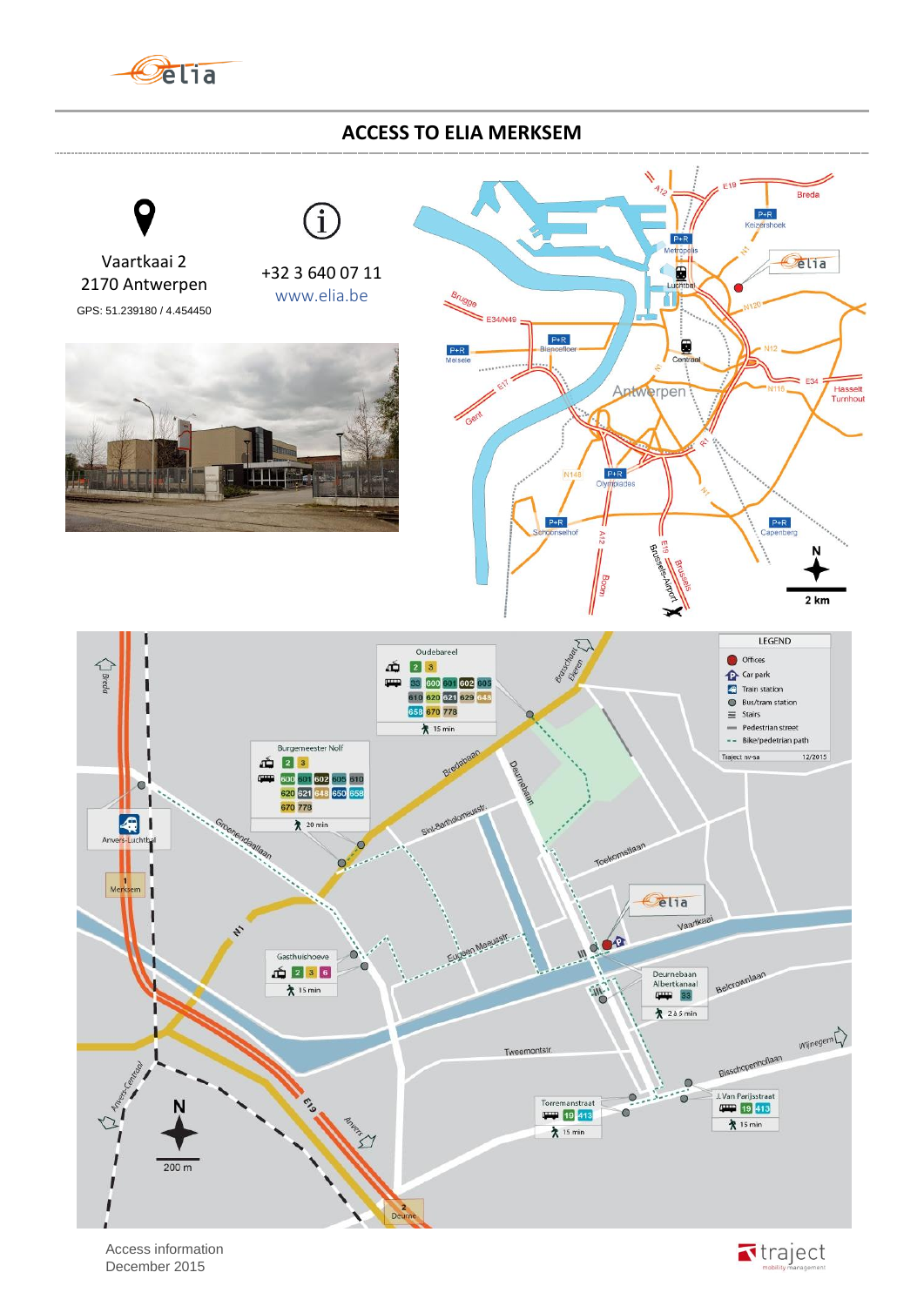

## **ACCESS TO ELIA MERKSEM**



 Access information December 2015